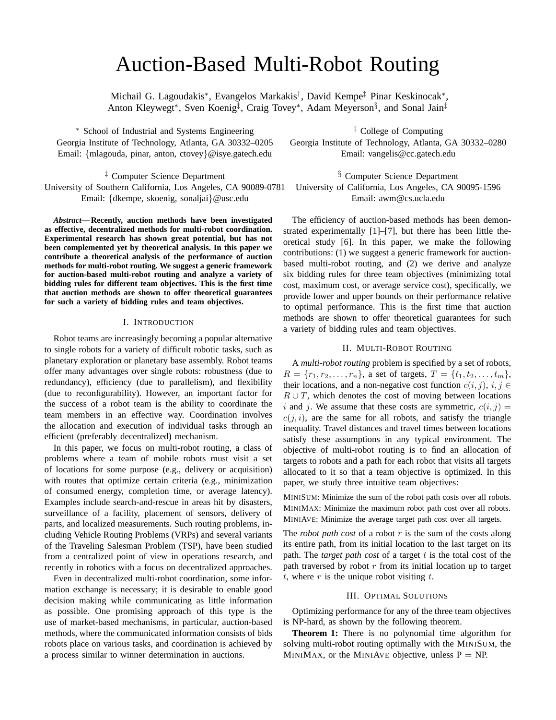# Auction-Based Multi-Robot Routing

Michail G. Lagoudakis<sup>∗</sup> , Evangelos Markakis† , David Kempe‡ Pinar Keskinocak<sup>∗</sup> , Anton Kleywegt<sup>∗</sup>, Sven Koenig<sup>‡</sup>, Craig Tovey<sup>∗</sup>, Adam Meyerson<sup>§</sup>, and Sonal Jain<sup>‡</sup>

<sup>∗</sup> School of Industrial and Systems Engineering Georgia Institute of Technology, Atlanta, GA 30332–0205 Email: {mlagouda, pinar, anton, ctovey}@isye.gatech.edu

‡ Computer Science Department University of Southern California, Los Angeles, CA 90089-0781 Email: {dkempe, skoenig, sonaljai}@usc.edu

*Abstract***— Recently, auction methods have been investigated as effective, decentralized methods for multi-robot coordination. Experimental research has shown great potential, but has not been complemented yet by theoretical analysis. In this paper we contribute a theoretical analysis of the performance of auction methods for multi-robot routing. We suggest a generic framework for auction-based multi-robot routing and analyze a variety of bidding rules for different team objectives. This is the first time that auction methods are shown to offer theoretical guarantees for such a variety of bidding rules and team objectives.**

# I. INTRODUCTION

Robot teams are increasingly becoming a popular alternative to single robots for a variety of difficult robotic tasks, such as planetary exploration or planetary base assembly. Robot teams offer many advantages over single robots: robustness (due to redundancy), efficiency (due to parallelism), and flexibility (due to reconfigurability). However, an important factor for the success of a robot team is the ability to coordinate the team members in an effective way. Coordination involves the allocation and execution of individual tasks through an efficient (preferably decentralized) mechanism.

In this paper, we focus on multi-robot routing, a class of problems where a team of mobile robots must visit a set of locations for some purpose (e.g., delivery or acquisition) with routes that optimize certain criteria (e.g., minimization of consumed energy, completion time, or average latency). Examples include search-and-rescue in areas hit by disasters, surveillance of a facility, placement of sensors, delivery of parts, and localized measurements. Such routing problems, including Vehicle Routing Problems (VRPs) and several variants of the Traveling Salesman Problem (TSP), have been studied from a centralized point of view in operations research, and recently in robotics with a focus on decentralized approaches.

Even in decentralized multi-robot coordination, some information exchange is necessary; it is desirable to enable good decision making while communicating as little information as possible. One promising approach of this type is the use of market-based mechanisms, in particular, auction-based methods, where the communicated information consists of bids robots place on various tasks, and coordination is achieved by a process similar to winner determination in auctions.

† College of Computing Georgia Institute of Technology, Atlanta, GA 30332–0280 Email: vangelis@cc.gatech.edu

§ Computer Science Department University of California, Los Angeles, CA 90095-1596 Email: awm@cs.ucla.edu

The efficiency of auction-based methods has been demonstrated experimentally [1]–[7], but there has been little theoretical study [6]. In this paper, we make the following contributions: (1) we suggest a generic framework for auctionbased multi-robot routing, and (2) we derive and analyze six bidding rules for three team objectives (minimizing total cost, maximum cost, or average service cost), specifically, we provide lower and upper bounds on their performance relative to optimal performance. This is the first time that auction methods are shown to offer theoretical guarantees for such a variety of bidding rules and team objectives.

## II. MULTI-ROBOT ROUTING

A *multi-robot routing* problem is specified by a set of robots,  $R = \{r_1, r_2, \ldots, r_n\}$ , a set of targets,  $T = \{t_1, t_2, \ldots, t_m\}$ , their locations, and a non-negative cost function  $c(i, j)$ ,  $i, j \in$  $R \cup T$ , which denotes the cost of moving between locations i and j. We assume that these costs are symmetric,  $c(i, j)$  =  $c(j,i)$ , are the same for all robots, and satisfy the triangle inequality. Travel distances and travel times between locations satisfy these assumptions in any typical environment. The objective of multi-robot routing is to find an allocation of targets to robots and a path for each robot that visits all targets allocated to it so that a team objective is optimized. In this paper, we study three intuitive team objectives:

MINISUM: Minimize the sum of the robot path costs over all robots. MINIMAX: Minimize the maximum robot path cost over all robots. MINIAVE: Minimize the average target path cost over all targets.

The *robot path cost* of a robot  $r$  is the sum of the costs along its entire path, from its initial location to the last target on its path. The *target path cost* of a target  $t$  is the total cost of the path traversed by robot  $r$  from its initial location up to target t, where  $r$  is the unique robot visiting  $t$ .

# III. OPTIMAL SOLUTIONS

Optimizing performance for any of the three team objectives is NP-hard, as shown by the following theorem.

**Theorem 1:** There is no polynomial time algorithm for solving multi-robot routing optimally with the MINISUM, the MINIMAX, or the MINIAVE objective, unless  $P = NP$ .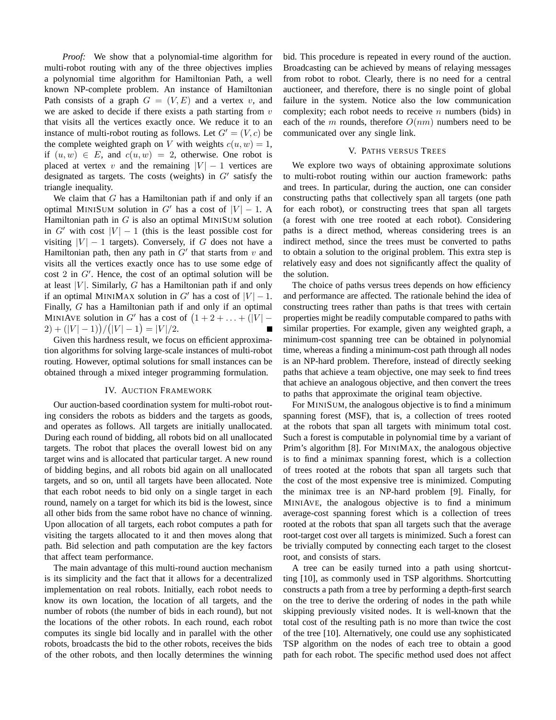*Proof:* We show that a polynomial-time algorithm for multi-robot routing with any of the three objectives implies a polynomial time algorithm for Hamiltonian Path, a well known NP-complete problem. An instance of Hamiltonian Path consists of a graph  $G = (V, E)$  and a vertex v, and we are asked to decide if there exists a path starting from  $v$ that visits all the vertices exactly once. We reduce it to an instance of multi-robot routing as follows. Let  $G' = (V, c)$  be the complete weighted graph on V with weights  $c(u, w) = 1$ , if  $(u, w) \in E$ , and  $c(u, w) = 2$ , otherwise. One robot is placed at vertex v and the remaining  $|V| - 1$  vertices are designated as targets. The costs (weights) in  $G'$  satisfy the triangle inequality.

We claim that  $G$  has a Hamiltonian path if and only if an optimal MINISUM solution in G' has a cost of  $|V| - 1$ . A Hamiltonian path in  $G$  is also an optimal MINISUM solution in G' with cost  $|V| - 1$  (this is the least possible cost for visiting  $|V| - 1$  targets). Conversely, if G does not have a Hamiltonian path, then any path in  $G'$  that starts from  $v$  and visits all the vertices exactly once has to use some edge of  $\cos t$  2 in  $G'$ . Hence, the cost of an optimal solution will be at least  $|V|$ . Similarly, G has a Hamiltonian path if and only if an optimal MINIMAX solution in G' has a cost of  $|V| - 1$ . Finally, G has a Hamiltonian path if and only if an optimal MINIAVE solution in G' has a cost of  $(1 + 2 + ... + (|V| (2) + (|V| - 1)$  $/(|V| - 1) = |V|/2$ .

Given this hardness result, we focus on efficient approximation algorithms for solving large-scale instances of multi-robot routing. However, optimal solutions for small instances can be obtained through a mixed integer programming formulation.

#### IV. AUCTION FRAMEWORK

Our auction-based coordination system for multi-robot routing considers the robots as bidders and the targets as goods, and operates as follows. All targets are initially unallocated. During each round of bidding, all robots bid on all unallocated targets. The robot that places the overall lowest bid on any target wins and is allocated that particular target. A new round of bidding begins, and all robots bid again on all unallocated targets, and so on, until all targets have been allocated. Note that each robot needs to bid only on a single target in each round, namely on a target for which its bid is the lowest, since all other bids from the same robot have no chance of winning. Upon allocation of all targets, each robot computes a path for visiting the targets allocated to it and then moves along that path. Bid selection and path computation are the key factors that affect team performance.

The main advantage of this multi-round auction mechanism is its simplicity and the fact that it allows for a decentralized implementation on real robots. Initially, each robot needs to know its own location, the location of all targets, and the number of robots (the number of bids in each round), but not the locations of the other robots. In each round, each robot computes its single bid locally and in parallel with the other robots, broadcasts the bid to the other robots, receives the bids of the other robots, and then locally determines the winning bid. This procedure is repeated in every round of the auction. Broadcasting can be achieved by means of relaying messages from robot to robot. Clearly, there is no need for a central auctioneer, and therefore, there is no single point of global failure in the system. Notice also the low communication complexity; each robot needs to receive  $n$  numbers (bids) in each of the m rounds, therefore  $O(nm)$  numbers need to be communicated over any single link.

# V. PATHS VERSUS TREES

We explore two ways of obtaining approximate solutions to multi-robot routing within our auction framework: paths and trees. In particular, during the auction, one can consider constructing paths that collectively span all targets (one path for each robot), or constructing trees that span all targets (a forest with one tree rooted at each robot). Considering paths is a direct method, whereas considering trees is an indirect method, since the trees must be converted to paths to obtain a solution to the original problem. This extra step is relatively easy and does not significantly affect the quality of the solution.

The choice of paths versus trees depends on how efficiency and performance are affected. The rationale behind the idea of constructing trees rather than paths is that trees with certain properties might be readily computable compared to paths with similar properties. For example, given any weighted graph, a minimum-cost spanning tree can be obtained in polynomial time, whereas a finding a minimum-cost path through all nodes is an NP-hard problem. Therefore, instead of directly seeking paths that achieve a team objective, one may seek to find trees that achieve an analogous objective, and then convert the trees to paths that approximate the original team objective.

For MINISUM, the analogous objective is to find a minimum spanning forest (MSF), that is, a collection of trees rooted at the robots that span all targets with minimum total cost. Such a forest is computable in polynomial time by a variant of Prim's algorithm [8]. For MINIMAX, the analogous objective is to find a minimax spanning forest, which is a collection of trees rooted at the robots that span all targets such that the cost of the most expensive tree is minimized. Computing the minimax tree is an NP-hard problem [9]. Finally, for MINIAVE, the analogous objective is to find a minimum average-cost spanning forest which is a collection of trees rooted at the robots that span all targets such that the average root-target cost over all targets is minimized. Such a forest can be trivially computed by connecting each target to the closest root, and consists of stars.

A tree can be easily turned into a path using shortcutting [10], as commonly used in TSP algorithms. Shortcutting constructs a path from a tree by performing a depth-first search on the tree to derive the ordering of nodes in the path while skipping previously visited nodes. It is well-known that the total cost of the resulting path is no more than twice the cost of the tree [10]. Alternatively, one could use any sophisticated TSP algorithm on the nodes of each tree to obtain a good path for each robot. The specific method used does not affect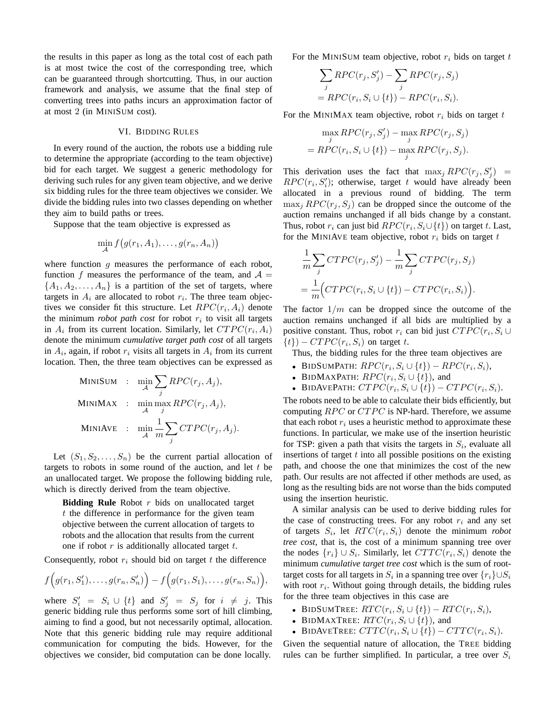the results in this paper as long as the total cost of each path is at most twice the cost of the corresponding tree, which can be guaranteed through shortcutting. Thus, in our auction framework and analysis, we assume that the final step of converting trees into paths incurs an approximation factor of at most 2 (in MINISUM cost).

#### VI. BIDDING RULES

In every round of the auction, the robots use a bidding rule to determine the appropriate (according to the team objective) bid for each target. We suggest a generic methodology for deriving such rules for any given team objective, and we derive six bidding rules for the three team objectives we consider. We divide the bidding rules into two classes depending on whether they aim to build paths or trees.

Suppose that the team objective is expressed as

$$
\min_{\mathcal{A}} f(g(r_1, A_1), \dots, g(r_n, A_n))
$$

where function  $g$  measures the performance of each robot, function f measures the performance of the team, and  $A =$  $\{A_1, A_2, \ldots, A_n\}$  is a partition of the set of targets, where targets in  $A_i$  are allocated to robot  $r_i$ . The three team objectives we consider fit this structure. Let  $RPC(r_i, A_i)$  denote the minimum *robot path cost* for robot  $r_i$  to visit all targets in  $A_i$  from its current location. Similarly, let  $CTPC(r_i, A_i)$ denote the minimum *cumulative target path cost* of all targets in  $A_i$ , again, if robot  $r_i$  visits all targets in  $A_i$  from its current location. Then, the three team objectives can be expressed as

$$
\begin{aligned}\n\text{MINISUM} &: \quad \min_{\mathcal{A}} \sum_{j} RPC(r_j, A_j), \\
\text{MINIMAX} &: \quad \min_{\mathcal{A}} \max_{j} RPC(r_j, A_j), \\
\text{MINIAVE} &: \quad \min_{\mathcal{A}} \frac{1}{m} \sum_{j} CTPC(r_j, A_j).\n\end{aligned}
$$

Let  $(S_1, S_2, \ldots, S_n)$  be the current partial allocation of targets to robots in some round of the auction, and let  $t$  be an unallocated target. We propose the following bidding rule, which is directly derived from the team objective.

**Bidding Rule** Robot r bids on unallocated target t the difference in performance for the given team objective between the current allocation of targets to robots and the allocation that results from the current one if robot  $r$  is additionally allocated target  $t$ .

Consequently, robot  $r_i$  should bid on target t the difference

$$
f(g(r_1, S'_1), \ldots, g(r_n, S'_n)) - f(g(r_1, S_1), \ldots, g(r_n, S_n)),
$$

where  $S'_i = S_i \cup \{t\}$  and  $S'_j = S_j$  for  $i \neq j$ . This generic bidding rule thus performs some sort of hill climbing, aiming to find a good, but not necessarily optimal, allocation. Note that this generic bidding rule may require additional communication for computing the bids. However, for the objectives we consider, bid computation can be done locally.

For the MINISUM team objective, robot  $r_i$  bids on target t

$$
\sum_{j} RPC(r_j, S'_j) - \sum_{j} RPC(r_j, S_j)
$$
  
= 
$$
RPC(r_i, S_i \cup \{t\}) - RPC(r_i, S_i).
$$

For the MINIMAX team objective, robot  $r_i$  bids on target  $t$ 

$$
\max_{j} RPC(r_j, S'_j) - \max_{j} RPC(r_j, S_j)
$$
  
= 
$$
RPC(r_i, S_i \cup \{t\}) - \max_{j} RPC(r_j, S_j).
$$

This derivation uses the fact that  $\max_j RPC(r_j, S'_j)$  =  $RPC(r_i, S'_i)$ ; otherwise, target t would have already been allocated in a previous round of bidding. The term  $\max_i RPC(r_i, S_i)$  can be dropped since the outcome of the auction remains unchanged if all bids change by a constant. Thus, robot  $r_i$  can just bid  $RPC(r_i, S_i \cup \{t\})$  on target t. Last, for the MINIAVE team objective, robot  $r_i$  bids on target t

$$
\frac{1}{m} \sum_{j} CTPC(r_j, S'_j) - \frac{1}{m} \sum_{j} CTPC(r_j, S_j)
$$

$$
= \frac{1}{m} \Big( CTPC(r_i, S_i \cup \{t\}) - CTPC(r_i, S_i) \Big).
$$

The factor  $1/m$  can be dropped since the outcome of the auction remains unchanged if all bids are multiplied by a positive constant. Thus, robot  $r_i$  can bid just  $CTPC(r_i, S_i \cup$  $\{t\}$ ) –  $CTPC(r_i, S_i)$  on target t.

Thus, the bidding rules for the three team objectives are

- BIDSUMPATH:  $RPC(r_i, S_i \cup \{t\}) RPC(r_i, S_i),$
- BIDMAXPATH:  $RPC(r_i, S_i \cup \{t\})$ , and
- BIDAVEPATH:  $CTPC(r_i, S_i \cup \{t\}) CTPC(r_i, S_i)$ .

The robots need to be able to calculate their bids efficiently, but computing RPC or CTPC is NP-hard. Therefore, we assume that each robot  $r_i$  uses a heuristic method to approximate these functions. In particular, we make use of the insertion heuristic for TSP: given a path that visits the targets in  $S_i$ , evaluate all insertions of target  $t$  into all possible positions on the existing path, and choose the one that minimizes the cost of the new path. Our results are not affected if other methods are used, as long as the resulting bids are not worse than the bids computed using the insertion heuristic.

A similar analysis can be used to derive bidding rules for the case of constructing trees. For any robot  $r_i$  and any set of targets  $S_i$ , let  $RTC(r_i, S_i)$  denote the minimum *robot tree cost*, that is, the cost of a minimum spanning tree over the nodes  $\{r_i\} \cup S_i$ . Similarly, let  $CTTC(r_i, S_i)$  denote the minimum *cumulative target tree cost* which is the sum of roottarget costs for all targets in  $S_i$  in a spanning tree over  $\{r_i\} \cup S_i$ with root  $r_i$ . Without going through details, the bidding rules for the three team objectives in this case are

- BIDSUMTREE:  $RTC(r_i, S_i \cup \{t\}) RTC(r_i, S_i),$
- BIDMAXTREE:  $RTC(r_i, S_i \cup \{t\})$ , and
- BIDAVETREE:  $CTTC(r_i, S_i \cup \{t\}) CTTC(r_i, S_i)$ .

Given the sequential nature of allocation, the TREE bidding rules can be further simplified. In particular, a tree over  $S_i$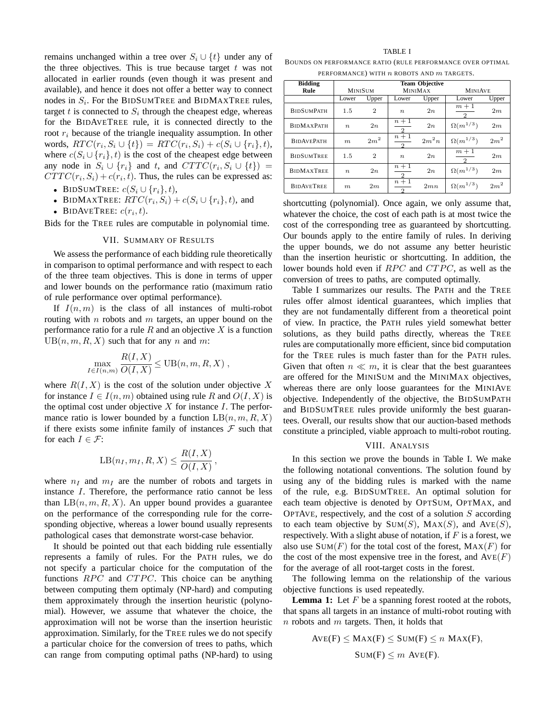remains unchanged within a tree over  $S_i \cup \{t\}$  under any of the three objectives. This is true because target  $t$  was not allocated in earlier rounds (even though it was present and available), and hence it does not offer a better way to connect nodes in  $S_i$ . For the BIDSUMTREE and BIDMAXTREE rules, target  $t$  is connected to  $S_i$  through the cheapest edge, whereas for the BIDAVETREE rule, it is connected directly to the root  $r_i$  because of the triangle inequality assumption. In other words,  $RTC(r_i, S_i \cup \{t\}) = RTC(r_i, S_i) + c(S_i \cup \{r_i\}, t),$ where  $c(S_i \cup \{r_i\}, t)$  is the cost of the cheapest edge between any node in  $S_i \cup \{r_i\}$  and t, and  $CTTC(r_i, S_i \cup \{t\})$  =  $CTTC(r_i, S_i) + c(r_i, t)$ . Thus, the rules can be expressed as:

- BIDSUMTREE:  $c(S_i \cup \{r_i\}, t)$ ,
- BIDMAXTREE:  $RTC(r_i, S_i) + c(S_i \cup \{r_i\}, t)$ , and
- BIDAVETREE:  $c(r_i, t)$ .

Bids for the TREE rules are computable in polynomial time.

#### VII. SUMMARY OF RESULTS

We assess the performance of each bidding rule theoretically in comparison to optimal performance and with respect to each of the three team objectives. This is done in terms of upper and lower bounds on the performance ratio (maximum ratio of rule performance over optimal performance).

If  $I(n,m)$  is the class of all instances of multi-robot routing with  $n$  robots and  $m$  targets, an upper bound on the performance ratio for a rule  $R$  and an objective  $X$  is a function  $UB(n, m, R, X)$  such that for any n and m:

$$
\max_{I \in I(n,m)} \frac{R(I,X)}{O(I,X)} \leq \text{UB}(n,m,R,X) ,
$$

where  $R(I, X)$  is the cost of the solution under objective X for instance  $I \in I(n,m)$  obtained using rule R and  $O(I, X)$  is the optimal cost under objective X for instance I. The performance ratio is lower bounded by a function  $LB(n, m, R, X)$ if there exists some infinite family of instances  $\mathcal F$  such that for each  $I \in \mathcal{F}$ :

$$
LB(n_I, m_I, R, X) \leq \frac{R(I, X)}{O(I, X)},
$$

where  $n_I$  and  $m_I$  are the number of robots and targets in instance I. Therefore, the performance ratio cannot be less than  $LB(n,m,R,X)$ . An upper bound provides a guarantee on the performance of the corresponding rule for the corresponding objective, whereas a lower bound usually represents pathological cases that demonstrate worst-case behavior.

It should be pointed out that each bidding rule essentially represents a family of rules. For the PATH rules, we do not specify a particular choice for the computation of the functions  $RPC$  and  $CTPC$ . This choice can be anything between computing them optimaly (NP-hard) and computing them approximately through the insertion heuristic (polynomial). However, we assume that whatever the choice, the approximation will not be worse than the insertion heuristic approximation. Similarly, for the TREE rules we do not specify a particular choice for the conversion of trees to paths, which can range from computing optimal paths (NP-hard) to using

# TABLE I

BOUNDS ON PERFORMANCE RATIO (RULE PERFORMANCE OVER OPTIMAL PERFORMANCE) WITH  $n$  ROBOTS AND  $m$  TARGETS.

| <b>Bidding</b>    | <b>Team Objective</b> |                 |                        |         |                        |                 |
|-------------------|-----------------------|-----------------|------------------------|---------|------------------------|-----------------|
| Rule              | <b>MINISUM</b>        |                 | <b>MINIMAX</b>         |         | <b>MINIAVE</b>         |                 |
|                   | Lower                 | Upper           | Lower                  | Upper   | Lower                  | Upper           |
| <b>BIDSUMPATH</b> | 1.5                   | $\overline{2}$  | $\boldsymbol{n}$       | 2n      | $m+1$                  | 2m              |
| <b>BIDMAXPATH</b> | $\boldsymbol{n}$      | 2n              | $n+1$                  | 2n      | $\Omega(m^{1/3})$      | 2m              |
| <b>BIDAVEPATH</b> | m                     | 2m <sup>2</sup> | $n+1$<br>$\mathcal{D}$ | $2m^2n$ | $\Omega(m^{1/3})$      | 2m <sup>2</sup> |
| <b>BIDSUMTREE</b> | 1.5                   | $\overline{2}$  | $\boldsymbol{n}$       | 2n      | $m+1$<br>$\mathcal{D}$ | 2m              |
| <b>BIDMAXTREE</b> | $\boldsymbol{n}$      | 2n              | $n+1$                  | 2n      | $\Omega(m^{1/3})$      | 2m              |
| <b>BIDAVETREE</b> | m                     | 2m              | $n+1$                  | 2mn     | $\Omega(m^{1/3})$      | 2m <sup>2</sup> |

shortcutting (polynomial). Once again, we only assume that, whatever the choice, the cost of each path is at most twice the cost of the corresponding tree as guaranteed by shortcutting. Our bounds apply to the entire family of rules. In deriving the upper bounds, we do not assume any better heuristic than the insertion heuristic or shortcutting. In addition, the lower bounds hold even if RPC and CTPC, as well as the conversion of trees to paths, are computed optimally.

Table I summarizes our results. The PATH and the TREE rules offer almost identical guarantees, which implies that they are not fundamentally different from a theoretical point of view. In practice, the PATH rules yield somewhat better solutions, as they build paths directly, whereas the TREE rules are computationally more efficient, since bid computation for the TREE rules is much faster than for the PATH rules. Given that often  $n \ll m$ , it is clear that the best guarantees are offered for the MINISUM and the MINIMAX objectives, whereas there are only loose guarantees for the MINIAVE objective. Independently of the objective, the BIDSUMPATH and BIDSUMTREE rules provide uniformly the best guarantees. Overall, our results show that our auction-based methods constitute a principled, viable approach to multi-robot routing.

#### VIII. ANALYSIS

In this section we prove the bounds in Table I. We make the following notational conventions. The solution found by using any of the bidding rules is marked with the name of the rule, e.g. BIDSUMTREE. An optimal solution for each team objective is denoted by OPTSUM, OPTMAX, and OPTAVE, respectively, and the cost of a solution  $S$  according to each team objective by  $Sum(S)$ ,  $MAX(S)$ , and  $AVE(S)$ , respectively. With a slight abuse of notation, if  $F$  is a forest, we also use  $Sum(F)$  for the total cost of the forest,  $MAX(F)$  for the cost of the most expensive tree in the forest, and  $AVE(F)$ for the average of all root-target costs in the forest.

The following lemma on the relationship of the various objective functions is used repeatedly.

**Lemma 1:** Let  $F$  be a spanning forest rooted at the robots, that spans all targets in an instance of multi-robot routing with  $n$  robots and  $m$  targets. Then, it holds that

$$
AVE(F) \leq MAX(F) \leq SUM(F) \leq n \, MAX(F),
$$
  
 
$$
Sum(F) \leq m \, Ave(F).
$$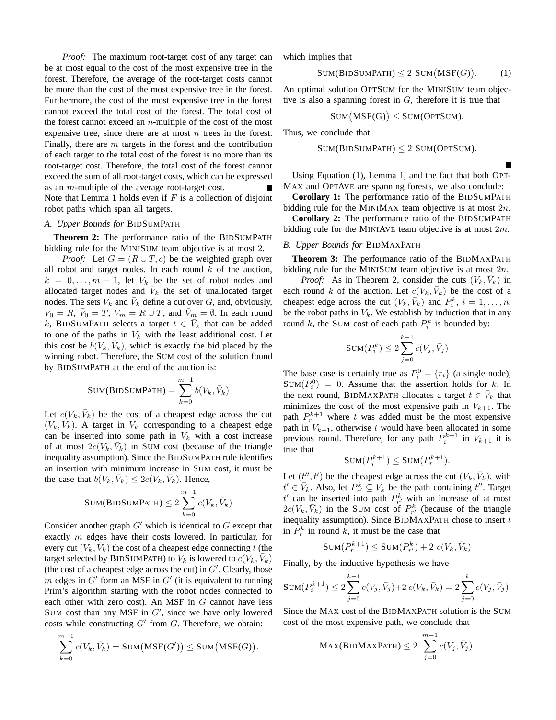*Proof:* The maximum root-target cost of any target can be at most equal to the cost of the most expensive tree in the forest. Therefore, the average of the root-target costs cannot be more than the cost of the most expensive tree in the forest. Furthermore, the cost of the most expensive tree in the forest cannot exceed the total cost of the forest. The total cost of the forest cannot exceed an  $n$ -multiple of the cost of the most expensive tree, since there are at most  $n$  trees in the forest. Finally, there are  $m$  targets in the forest and the contribution of each target to the total cost of the forest is no more than its root-target cost. Therefore, the total cost of the forest cannot exceed the sum of all root-target costs, which can be expressed as an m-multiple of the average root-target cost. Note that Lemma 1 holds even if  $F$  is a collection of disjoint robot paths which span all targets.

### *A. Upper Bounds for* BIDSUMPATH

**Theorem 2:** The performance ratio of the BIDSUMPATH bidding rule for the MINISUM team objective is at most 2.

*Proof:* Let  $G = (R \cup T, c)$  be the weighted graph over all robot and target nodes. In each round  $k$  of the auction,  $k = 0, \ldots, m - 1$ , let  $V_k$  be the set of robot nodes and allocated target nodes and  $\bar{V}_k$  the set of unallocated target nodes. The sets  $V_k$  and  $\bar{V}_k$  define a cut over G, and, obviously,  $V_0 = R$ ,  $\bar{V}_0 = T$ ,  $V_m = R \cup T$ , and  $\bar{V}_m = \emptyset$ . In each round k, BIDSUMPATH selects a target  $t \in \overline{V}_k$  that can be added to one of the paths in  $V_k$  with the least additional cost. Let this cost be  $b(\tilde{V}_k, \bar{V}_k)$ , which is exactly the bid placed by the winning robot. Therefore, the SUM cost of the solution found by BIDSUMPATH at the end of the auction is:

$$
SUM(BIDSUMPATH) = \sum_{k=0}^{m-1} b(V_k, \bar{V}_k)
$$

Let  $c(V_k, \bar{V}_k)$  be the cost of a cheapest edge across the cut  $(V_k, \overrightarrow{V}_k)$ . A target in  $\overrightarrow{V}_k$  corresponding to a cheapest edge can be inserted into some path in  $V_k$  with a cost increase of at most  $2c(V_k, \bar{V}_k)$  in SUM cost (because of the triangle inequality assumption). Since the BIDSUMPATH rule identifies an insertion with minimum increase in SUM cost, it must be the case that  $b(V_k, \bar{V}_k) \leq 2c(V_k, \bar{V}_k)$ . Hence,

$$
SUM(BIDSUMPATH) \leq 2\sum_{k=0}^{m-1} c(V_k, \bar{V}_k)
$$

Consider another graph  $G'$  which is identical to  $G$  except that exactly  $m$  edges have their costs lowered. In particular, for every cut  $(V_k, \bar{V}_k)$  the cost of a cheapest edge connecting t (the target selected by BIDSUMPATH) to  $V_k$  is lowered to  $c(V_k, \bar{V}_k)$ (the cost of a cheapest edge across the cut) in  $G'$ . Clearly, those m edges in  $G'$  form an MSF in  $G'$  (it is equivalent to running Prim's algorithm starting with the robot nodes connected to each other with zero cost). An MSF in  $G$  cannot have less SUM cost than any MSF in  $G'$ , since we have only lowered costs while constructing  $G'$  from  $G$ . Therefore, we obtain:

$$
\sum_{k=0}^{m-1} c(V_k, \overline{V}_k) = \text{SUM}\big(\text{MSF}(G')\big) \le \text{SUM}\big(\text{MSF}(G)\big).
$$

which implies that

$$
Sum(BIDSUMPATH) \le 2 Sum(MSF(G)). \tag{1}
$$

An optimal solution OPTSUM for the MINISUM team objective is also a spanning forest in  $G$ , therefore it is true that

$$
Sum(MSF(G)) \leq SUM(OPTSUM).
$$

Thus, we conclude that

$$
SUM(BIDSUMPATH) \leq 2 SUM(OPTSUM).
$$

Using Equation (1), Lemma 1, and the fact that both OPT-MAX and OPTAVE are spanning forests, we also conclude:

**Corollary 1:** The performance ratio of the BIDSUMPATH bidding rule for the MINIMAX team objective is at most  $2n$ .

**Corollary 2:** The performance ratio of the BIDSUMPATH bidding rule for the MINIAVE team objective is at most  $2m$ .

#### *B. Upper Bounds for* BIDMAXPATH

**Theorem 3:** The performance ratio of the BIDMAXPATH bidding rule for the MINISUM team objective is at most 2n.

*Proof:* As in Theorem 2, consider the cuts  $(V_k, \bar{V}_k)$  in each round k of the auction. Let  $c(V_k, \bar{V}_k)$  be the cost of a cheapest edge across the cut  $(V_k, \overline{V}_k)$  and  $P_i^k$ ,  $i = 1, ..., n$ , be the robot paths in  $V_k$ . We establish by induction that in any round k, the SUM cost of each path  $P_i^k$  is bounded by:

$$
\text{SUM}(P_i^k) \le 2 \sum_{j=0}^{k-1} c(V_j, \bar{V}_j)
$$

The base case is certainly true as  $P_i^0 = \{r_i\}$  (a single node),  $SUM(P_i^0) = 0$ . Assume that the assertion holds for k. In the next round, BIDMAXPATH allocates a target  $t \in \overline{V}_k$  that minimizes the cost of the most expensive path in  $V_{k+1}$ . The path  $P_r^{k+1}$  where t was added must be the most expensive path in  $V_{k+1}$ , otherwise t would have been allocated in some previous round. Therefore, for any path  $P_i^{k+1}$  in  $V_{k+1}$  it is true that

$$
Sum(P_i^{k+1}) \leq SUM(P_r^{k+1}).
$$

Let  $(t'', t')$  be the cheapest edge across the cut  $(V_k, \bar{V}_k)$ , with  $t' \in \overline{V}_k$ . Also, let  $P_{r'}^k \subseteq V_k$  be the path containing  $t''$ . Target  $t'$  can be inserted into path  $P_{r'}^k$  with an increase of at most  $2c(V_k, \bar{V}_k)$  in the SUM cost of  $P_{r'}^k$  (because of the triangle inequality assumption). Since  $BIDMAXPATH$  chose to insert  $t$ in  $P_r^k$  in round k, it must be the case that

$$
SUM(P_r^{k+1}) \leq SUM(P_{r'}^k) + 2 c(V_k, \bar{V}_k)
$$

Finally, by the inductive hypothesis we have

$$
SUM(P_i^{k+1}) \le 2\sum_{j=0}^{k-1} c(V_j, \bar{V}_j) + 2 c(V_k, \bar{V}_k) = 2\sum_{j=0}^{k} c(V_j, \bar{V}_j).
$$

Since the MAX cost of the BIDMAXPATH solution is the SUM cost of the most expensive path, we conclude that

$$
\text{Max(BIDMAXPATH)} \leq 2 \sum_{j=0}^{m-1} c(V_j, \bar{V}_j).
$$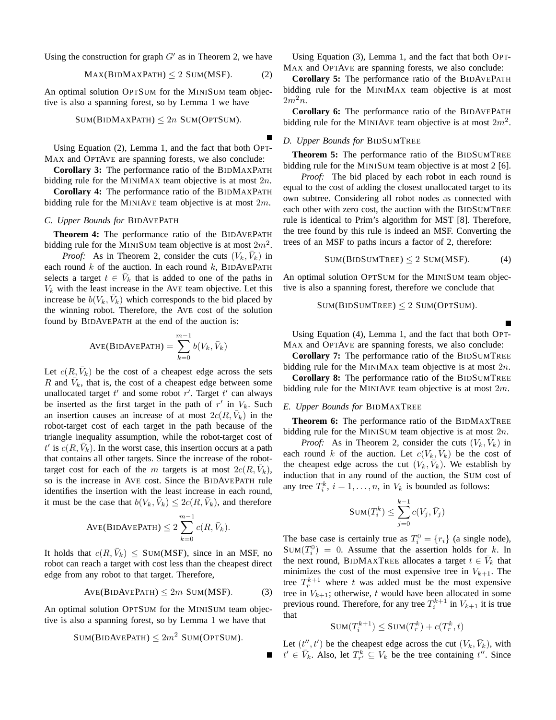Using the construction for graph  $G'$  as in Theorem 2, we have

$$
MAX(BIDMAXPATH) \le 2 SUM(MSF). \tag{2}
$$

An optimal solution OPTSUM for the MINISUM team objective is also a spanning forest, so by Lemma 1 we have

$$
SUM(BIDMAXPATH) \leq 2n SUM(OPTSUM).
$$

Using Equation (2), Lemma 1, and the fact that both OPT-MAX and OPTAVE are spanning forests, we also conclude:

**Corollary 3:** The performance ratio of the BIDMAXPATH bidding rule for the MINIMAX team objective is at most  $2n$ .

**Corollary 4:** The performance ratio of the BIDMAXPATH bidding rule for the MINIAVE team objective is at most  $2m$ .

# *C. Upper Bounds for* BIDAVEPATH

**Theorem 4:** The performance ratio of the BIDAVEPATH bidding rule for the MINISUM team objective is at most  $2m^2$ .

*Proof:* As in Theorem 2, consider the cuts  $(V_k, \bar{V}_k)$  in each round  $k$  of the auction. In each round  $k$ , BIDAVEPATH selects a target  $t \in \overline{V}_k$  that is added to one of the paths in  $V_k$  with the least increase in the AVE team objective. Let this increase be  $b(V_k, \bar{V}_k)$  which corresponds to the bid placed by the winning robot. Therefore, the AVE cost of the solution found by BIDAVEPATH at the end of the auction is:

$$
AVE(BIDAVEPATH) = \sum_{k=0}^{m-1} b(V_k, \bar{V}_k)
$$

Let  $c(R, \bar{V}_k)$  be the cost of a cheapest edge across the sets R and  $\bar{V}_k$ , that is, the cost of a cheapest edge between some unallocated target  $t'$  and some robot  $r'$ . Target  $t'$  can always be inserted as the first target in the path of  $r'$  in  $V_k$ . Such an insertion causes an increase of at most  $2c(R, \bar{V}_k)$  in the robot-target cost of each target in the path because of the triangle inequality assumption, while the robot-target cost of  $t'$  is  $c(R, \bar{V}_k)$ . In the worst case, this insertion occurs at a path that contains all other targets. Since the increase of the robottarget cost for each of the m targets is at most  $2c(R, \bar{V}_k)$ , so is the increase in AVE cost. Since the BIDAVEPATH rule identifies the insertion with the least increase in each round, it must be the case that  $b(V_k, \bar{V}_k) \leq 2c(R, \bar{V}_k)$ , and therefore

$$
AVE(BIDAVEPATH) \leq 2\sum_{k=0}^{m-1} c(R, \bar{V}_k).
$$

It holds that  $c(R, \bar{V}_k) \leq$  SUM(MSF), since in an MSF, no robot can reach a target with cost less than the cheapest direct edge from any robot to that target. Therefore,

$$
AVE(BIDAVEPATH) \le 2m \text{ SUM(MSF)}. \tag{3}
$$

An optimal solution OPTSUM for the MINISUM team objective is also a spanning forest, so by Lemma 1 we have that

$$
SUM(BIDAVEPATH) \leq 2m^2
$$
  $SUM(OPTSUM)$ .

Using Equation (3), Lemma 1, and the fact that both OPT-MAX and OPTAVE are spanning forests, we also conclude:

**Corollary 5:** The performance ratio of the BIDAVEPATH bidding rule for the MINIMAX team objective is at most  $2m^2n$ .

**Corollary 6:** The performance ratio of the BIDAVEPATH bidding rule for the MINIAVE team objective is at most  $2m^2$ .

## *D. Upper Bounds for* BIDSUMTREE

**Theorem 5:** The performance ratio of the BIDSUMTREE bidding rule for the MINISUM team objective is at most 2 [6].

*Proof:* The bid placed by each robot in each round is equal to the cost of adding the closest unallocated target to its own subtree. Considering all robot nodes as connected with each other with zero cost, the auction with the BIDSUMTREE rule is identical to Prim's algorithm for MST [8]. Therefore, the tree found by this rule is indeed an MSF. Converting the trees of an MSF to paths incurs a factor of 2, therefore:

$$
SUM(BIDSUMTree) \le 2 SUM(MSF). \tag{4}
$$

An optimal solution OPTSUM for the MINISUM team objective is also a spanning forest, therefore we conclude that

$$
Sum(BIDSUMTREE) \leq 2 SUM(OPTSUM).
$$

Using Equation (4), Lemma 1, and the fact that both OPT-MAX and OPTAVE are spanning forests, we also conclude:

**Corollary 7:** The performance ratio of the BIDSUMTREE bidding rule for the MINIMAX team objective is at most  $2n$ .

**Corollary 8:** The performance ratio of the BIDSUMTREE bidding rule for the MINIAVE team objective is at most  $2m$ .

#### *E. Upper Bounds for* BIDMAXTREE

**Theorem 6:** The performance ratio of the BIDMAXTREE bidding rule for the MINISUM team objective is at most 2n.

*Proof:* As in Theorem 2, consider the cuts  $(V_k, \bar{V}_k)$  in each round k of the auction. Let  $c(V_k, \bar{V}_k)$  be the cost of the cheapest edge across the cut  $(V_k, \bar{V}_k)$ . We establish by induction that in any round of the auction, the SUM cost of any tree  $T_i^k$ ,  $i = 1, ..., n$ , in  $V_k$  is bounded as follows:

$$
\texttt{SUM}(T_i^k) \leq \sum_{j=0}^{k-1} c(V_j, \bar{V}_j)
$$

The base case is certainly true as  $T_i^0 = \{r_i\}$  (a single node),  $SUM(T_i^0) = 0$ . Assume that the assertion holds for k. In the next round, BIDMAXTREE allocates a target  $t \in \overline{V}_k$  that minimizes the cost of the most expensive tree in  $V_{k+1}$ . The tree  $T_r^{k+1}$  where t was added must be the most expensive tree in  $V_{k+1}$ ; otherwise, t would have been allocated in some previous round. Therefore, for any tree  $T_i^{k+1}$  in  $V_{k+1}$  it is true that

$$
SUM(T_i^{k+1}) \leq SUM(T_r^k) + c(T_r^k, t)
$$

Let  $(t'', t')$  be the cheapest edge across the cut  $(V_k, \bar{V}_k)$ , with  $t' \in V_k$ . Also, let  $T_{r'}^k \subseteq V_k$  be the tree containing  $t''$ . Since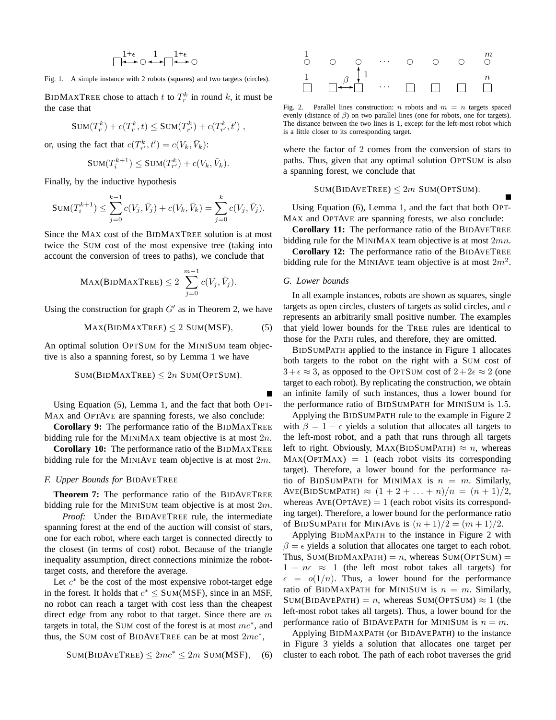$$
\begin{array}{c|c}1+\epsilon & 1 & 1+\epsilon \\ \hline & \longleftrightarrow & \text{ } & \longleftrightarrow & \text{ } \\ \hline \end{array}
$$

Fig. 1. A simple instance with 2 robots (squares) and two targets (circles).

BIDMAXTREE chose to attach t to  $T_r^k$  in round k, it must be the case that

$$
SUM(T_r^k) + c(T_r^k, t) \leq SUM(T_{r'}^k) + c(T_{r'}^k, t'),
$$

or, using the fact that  $c(T_{r'}^k, t') = c(V_k, \bar{V}_k)$ :

$$
\text{SUM}(T_i^{k+1}) \le \text{SUM}(T_{r'}^k) + c(V_k, \bar{V}_k).
$$

Finally, by the inductive hypothesis

$$
SUM(T_i^{k+1}) \leq \sum_{j=0}^{k-1} c(V_j, \bar{V}_j) + c(V_k, \bar{V}_k) = \sum_{j=0}^{k} c(V_j, \bar{V}_j).
$$

Since the MAX cost of the BIDMAXTREE solution is at most twice the SUM cost of the most expensive tree (taking into account the conversion of trees to paths), we conclude that

$$
\text{Max(BIDMAXTree)} \leq 2 \sum_{j=0}^{m-1} c(V_j, \bar{V}_j).
$$

Using the construction for graph  $G'$  as in Theorem 2, we have

$$
MAX(BIDMAXTREE) \le 2 SUM(MSF), \tag{5}
$$

An optimal solution OPTSUM for the MINISUM team objective is also a spanning forest, so by Lemma 1 we have

$$
Sum(BIDMAXTREE) \leq 2n \text{ SUM(OPTSUM)}.
$$

Using Equation (5), Lemma 1, and the fact that both OPT-MAX and OPTAVE are spanning forests, we also conclude:

**Corollary 9:** The performance ratio of the BIDMAXTREE bidding rule for the MINIMAX team objective is at most  $2n$ .

**Corollary 10:** The performance ratio of the BIDMAXTREE bidding rule for the MINIAVE team objective is at most  $2m$ .

## *F. Upper Bounds for* BIDAVETREE

**Theorem 7:** The performance ratio of the BIDAVETREE bidding rule for the MINISUM team objective is at most  $2m$ .

*Proof:* Under the BIDAVETREE rule, the intermediate spanning forest at the end of the auction will consist of stars, one for each robot, where each target is connected directly to the closest (in terms of cost) robot. Because of the triangle inequality assumption, direct connections minimize the robottarget costs, and therefore the average.

Let  $c^*$  be the cost of the most expensive robot-target edge in the forest. It holds that  $c^* \leq$  SUM(MSF), since in an MSF, no robot can reach a target with cost less than the cheapest direct edge from any robot to that target. Since there are  $m$ targets in total, the SUM cost of the forest is at most  $mc^*$ , and thus, the SUM cost of BIDAVETREE can be at most  $2mc^*$ ,

$$
SUM(BIDAVETree) \le 2mc^* \le 2m \text{ SUM(MSF)}, \quad (6)
$$



Fig. 2. Parallel lines construction: n robots and  $m = n$  targets spaced evenly (distance of  $\beta$ ) on two parallel lines (one for robots, one for targets). The distance between the two lines is 1, except for the left-most robot which is a little closer to its corresponding target.

where the factor of 2 comes from the conversion of stars to paths. Thus, given that any optimal solution OPTSUM is also a spanning forest, we conclude that

 $Sum(BIDAVETree) \leq 2m$  SUM(OPTSUM).

Using Equation (6), Lemma 1, and the fact that both OPT-MAX and OPTAVE are spanning forests, we also conclude:

**Corollary 11:** The performance ratio of the BIDAVETREE bidding rule for the MINIMAX team objective is at most 2mn.

**Corollary 12:** The performance ratio of the BIDAVETREE bidding rule for the MINIAVE team objective is at most  $2m^2$ .

## *G. Lower bounds*

In all example instances, robots are shown as squares, single targets as open circles, clusters of targets as solid circles, and  $\epsilon$ represents an arbitrarily small positive number. The examples that yield lower bounds for the TREE rules are identical to those for the PATH rules, and therefore, they are omitted.

BIDSUMPATH applied to the instance in Figure 1 allocates both targets to the robot on the right with a SUM cost of  $3+\epsilon \approx 3$ , as opposed to the OPTSUM cost of  $2+2\epsilon \approx 2$  (one target to each robot). By replicating the construction, we obtain an infinite family of such instances, thus a lower bound for the performance ratio of BIDSUMPATH for MINISUM is 1.5.

Applying the BIDSUMPATH rule to the example in Figure 2 with  $\beta = 1 - \epsilon$  yields a solution that allocates all targets to the left-most robot, and a path that runs through all targets left to right. Obviously, MAX(BIDSUMPATH)  $\approx n$ , whereas  $MAX(OPTMAX) = 1$  (each robot visits its corresponding target). Therefore, a lower bound for the performance ratio of BIDSUMPATH for MINIMAX is  $n = m$ . Similarly,  $AVE(BIDSUMPATH) \approx (1 + 2 + ... + n)/n = (n + 1)/2$ , whereas  $AVE(OPTAVE) = 1$  (each robot visits its corresponding target). Therefore, a lower bound for the performance ratio of BIDSUMPATH for MINIAVE is  $(n+1)/2 = (m+1)/2$ .

Applying BIDMAXPATH to the instance in Figure 2 with  $\beta = \epsilon$  yields a solution that allocates one target to each robot. Thus,  $SUM(BIDMAXPATH) = n$ , whereas  $SUM(OPTSUM) =$  $1 + n\epsilon \approx 1$  (the left most robot takes all targets) for  $\epsilon = o(1/n)$ . Thus, a lower bound for the performance ratio of BIDMAXPATH for MINISUM is  $n = m$ . Similarly,  $Sum(BIDAVEPATH) = n$ , whereas  $Sum(OPTSum) \approx 1$  (the left-most robot takes all targets). Thus, a lower bound for the performance ratio of BIDAVEPATH for MINISUM is  $n = m$ .

Applying BIDMAXPATH (or BIDAVEPATH) to the instance in Figure 3 yields a solution that allocates one target per cluster to each robot. The path of each robot traverses the grid